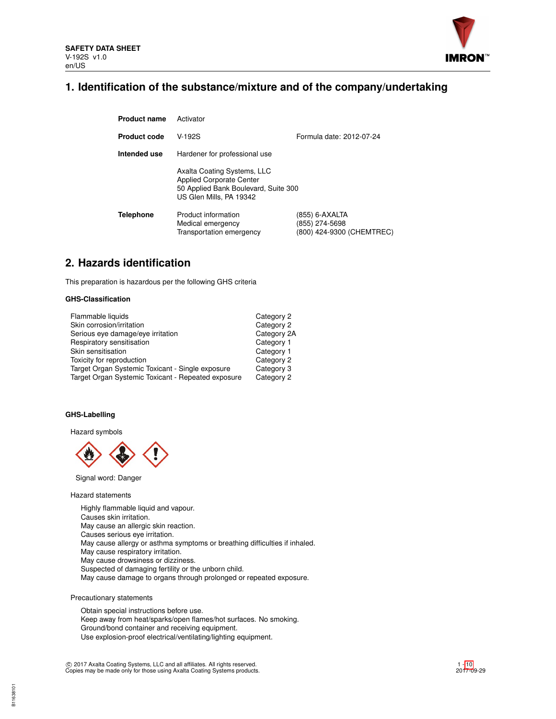

# **1. Identification of the substance/mixture and of the company/undertaking**

| <b>Product name</b> | Activator                                                                                                                         |                                                               |  |  |
|---------------------|-----------------------------------------------------------------------------------------------------------------------------------|---------------------------------------------------------------|--|--|
| <b>Product code</b> | $V-192S$                                                                                                                          | Formula date: 2012-07-24                                      |  |  |
| Intended use        | Hardener for professional use                                                                                                     |                                                               |  |  |
|                     | Axalta Coating Systems, LLC<br><b>Applied Corporate Center</b><br>50 Applied Bank Boulevard, Suite 300<br>US Glen Mills, PA 19342 |                                                               |  |  |
| <b>Telephone</b>    | Product information<br>Medical emergency<br>Transportation emergency                                                              | (855) 6-AXALTA<br>(855) 274-5698<br>(800) 424-9300 (CHEMTREC) |  |  |

## **2. Hazards identification**

This preparation is hazardous per the following GHS criteria

## **GHS-Classification**

| Flammable liquids                                  | Category 2  |
|----------------------------------------------------|-------------|
| Skin corrosion/irritation                          | Category 2  |
| Serious eye damage/eye irritation                  | Category 2A |
| Respiratory sensitisation                          | Category 1  |
| Skin sensitisation                                 | Category 1  |
| Toxicity for reproduction                          | Category 2  |
| Target Organ Systemic Toxicant - Single exposure   | Category 3  |
| Target Organ Systemic Toxicant - Repeated exposure | Category 2  |

## **GHS-Labelling**

Hazard symbols



Signal word: Danger

#### Hazard statements

Highly flammable liquid and vapour. Causes skin irritation. May cause an allergic skin reaction. Causes serious eye irritation. May cause allergy or asthma symptoms or breathing difficulties if inhaled. May cause respiratory irritation. May cause drowsiness or dizziness. Suspected of damaging fertility or the unborn child. May cause damage to organs through prolonged or repeated exposure.

Precautionary statements

Obtain special instructions before use. Keep away from heat/sparks/open flames/hot surfaces. No smoking. Ground/bond container and receiving equipment. Use explosion-proof electrical/ventilating/lighting equipment.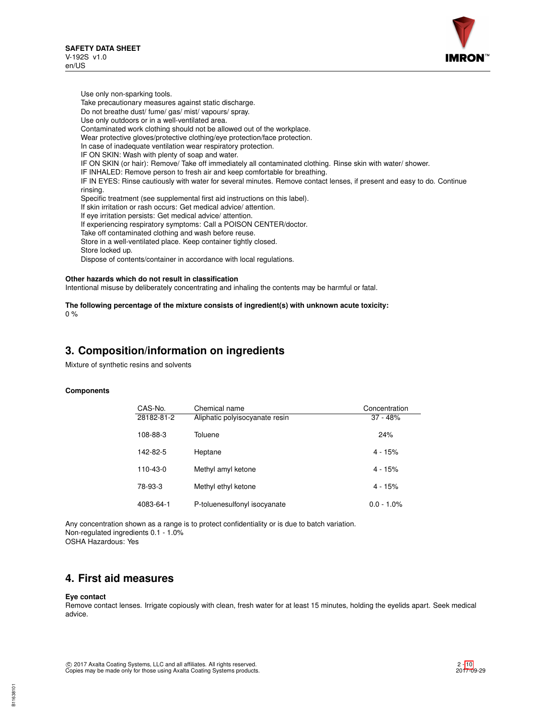

Use only non-sparking tools. Take precautionary measures against static discharge. Do not breathe dust/ fume/ gas/ mist/ vapours/ spray. Use only outdoors or in a well-ventilated area. Contaminated work clothing should not be allowed out of the workplace. Wear protective gloves/protective clothing/eye protection/face protection. In case of inadequate ventilation wear respiratory protection. IF ON SKIN: Wash with plenty of soap and water. IF ON SKIN (or hair): Remove/ Take off immediately all contaminated clothing. Rinse skin with water/ shower. IF INHALED: Remove person to fresh air and keep comfortable for breathing. IF IN EYES: Rinse cautiously with water for several minutes. Remove contact lenses, if present and easy to do. Continue rinsing. Specific treatment (see supplemental first aid instructions on this label). If skin irritation or rash occurs: Get medical advice/ attention. If eye irritation persists: Get medical advice/ attention. If experiencing respiratory symptoms: Call a POISON CENTER/doctor. Take off contaminated clothing and wash before reuse. Store in a well-ventilated place. Keep container tightly closed. Store locked up. Dispose of contents/container in accordance with local regulations.

#### **Other hazards which do not result in classification**

Intentional misuse by deliberately concentrating and inhaling the contents may be harmful or fatal.

**The following percentage of the mixture consists of ingredient(s) with unknown acute toxicity:** 0 %

## **3. Composition/information on ingredients**

Mixture of synthetic resins and solvents

#### **Components**

| CAS-No.    | Chemical name                  | Concentration |
|------------|--------------------------------|---------------|
| 28182-81-2 | Aliphatic polyisocyanate resin | $37 - 48%$    |
| 108-88-3   | Toluene                        | 24%           |
| 142-82-5   | Heptane                        | $4 - 15%$     |
| 110-43-0   | Methyl amyl ketone             | $4 - 15%$     |
| 78-93-3    | Methyl ethyl ketone            | $4 - 15%$     |
| 4083-64-1  | P-toluenesulfonyl isocyanate   | $0.0 - 1.0\%$ |

Any concentration shown as a range is to protect confidentiality or is due to batch variation. Non-regulated ingredients 0.1 - 1.0% OSHA Hazardous: Yes

## **4. First aid measures**

#### **Eye contact**

Remove contact lenses. Irrigate copiously with clean, fresh water for at least 15 minutes, holding the eyelids apart. Seek medical advice.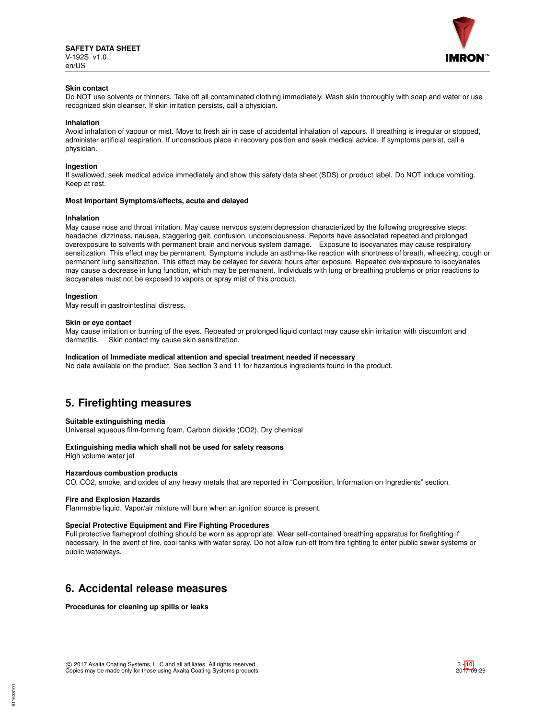

### **Skin contact**

Do NOT use solvents or thinners. Take off all contaminated clothing immediately. Wash skin thoroughly with soap and water or use recognized skin cleanser. If skin irritation persists, call a physician.

#### **Inhalation**

Avoid inhalation of vapour or mist. Move to fresh air in case of accidental inhalation of vapours. If breathing is irregular or stopped, administer artificial respiration. If unconscious place in recovery position and seek medical advice. If symptoms persist, call a physician.

#### **Ingestion**

If swallowed, seek medical advice immediately and show this safety data sheet (SDS) or product label. Do NOT induce vomiting. Keep at rest.

#### **Most Important Symptoms/effects, acute and delayed**

#### **Inhalation**

May cause nose and throat irritation. May cause nervous system depression characterized by the following progressive steps: headache, dizziness, nausea, staggering gait, confusion, unconsciousness. Reports have associated repeated and prolonged overexposure to solvents with permanent brain and nervous system damage. Exposure to isocyanates may cause respiratory sensitization. This effect may be permanent. Symptoms include an asthma-like reaction with shortness of breath, wheezing, cough or permanent lung sensitization. This effect may be delayed for several hours after exposure. Repeated overexposure to isocyanates may cause a decrease in lung function, which may be permanent. Individuals with lung or breathing problems or prior reactions to isocyanates must not be exposed to vapors or spray mist of this product.

#### **Ingestion**

May result in gastrointestinal distress.

#### **Skin or eye contact**

May cause irritation or burning of the eyes. Repeated or prolonged liquid contact may cause skin irritation with discomfort and dermatitis. Skin contact my cause skin sensitization.

#### **Indication of Immediate medical attention and special treatment needed if necessary**

No data available on the product. See section 3 and 11 for hazardous ingredients found in the product.

## **5. Firefighting measures**

#### **Suitable extinguishing media**

Universal aqueous film-forming foam, Carbon dioxide (CO2), Dry chemical

## **Extinguishing media which shall not be used for safety reasons**

High volume water jet

## **Hazardous combustion products**

CO, CO2, smoke, and oxides of any heavy metals that are reported in "Composition, Information on Ingredients" section.

#### **Fire and Explosion Hazards**

Flammable liquid. Vapor/air mixture will burn when an ignition source is present.

## **Special Protective Equipment and Fire Fighting Procedures**

Full protective flameproof clothing should be worn as appropriate. Wear self-contained breathing apparatus for firefighting if necessary. In the event of fire, cool tanks with water spray. Do not allow run-off from fire fighting to enter public sewer systems or public waterways.

## **6. Accidental release measures**

**Procedures for cleaning up spills or leaks**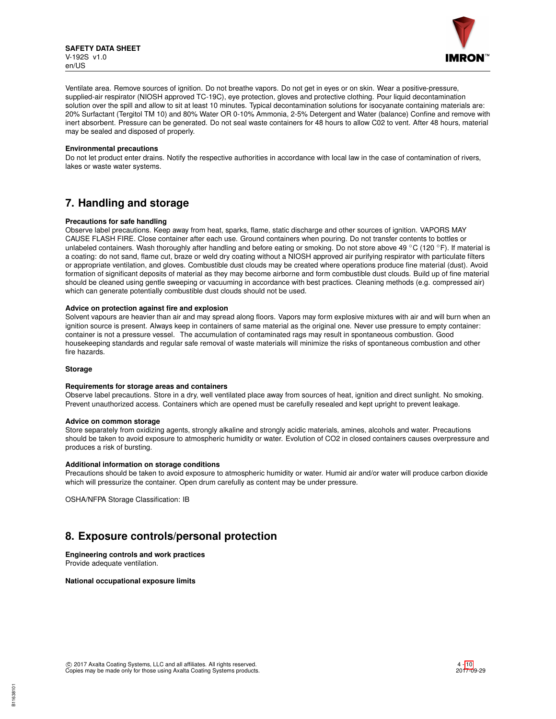

Ventilate area. Remove sources of ignition. Do not breathe vapors. Do not get in eyes or on skin. Wear a positive-pressure, supplied-air respirator (NIOSH approved TC-19C), eye protection, gloves and protective clothing. Pour liquid decontamination solution over the spill and allow to sit at least 10 minutes. Typical decontamination solutions for isocyanate containing materials are: 20% Surfactant (Tergitol TM 10) and 80% Water OR 0-10% Ammonia, 2-5% Detergent and Water (balance) Confine and remove with inert absorbent. Pressure can be generated. Do not seal waste containers for 48 hours to allow C02 to vent. After 48 hours, material may be sealed and disposed of properly.

## **Environmental precautions**

Do not let product enter drains. Notify the respective authorities in accordance with local law in the case of contamination of rivers, lakes or waste water systems.

## **7. Handling and storage**

#### **Precautions for safe handling**

Observe label precautions. Keep away from heat, sparks, flame, static discharge and other sources of ignition. VAPORS MAY CAUSE FLASH FIRE. Close container after each use. Ground containers when pouring. Do not transfer contents to bottles or unlabeled containers. Wash thoroughly after handling and before eating or smoking. Do not store above 49 °C (120 °F). If material is a coating: do not sand, flame cut, braze or weld dry coating without a NIOSH approved air purifying respirator with particulate filters or appropriate ventilation, and gloves. Combustible dust clouds may be created where operations produce fine material (dust). Avoid formation of significant deposits of material as they may become airborne and form combustible dust clouds. Build up of fine material should be cleaned using gentle sweeping or vacuuming in accordance with best practices. Cleaning methods (e.g. compressed air) which can generate potentially combustible dust clouds should not be used.

#### **Advice on protection against fire and explosion**

Solvent vapours are heavier than air and may spread along floors. Vapors may form explosive mixtures with air and will burn when an ignition source is present. Always keep in containers of same material as the original one. Never use pressure to empty container: container is not a pressure vessel. The accumulation of contaminated rags may result in spontaneous combustion. Good housekeeping standards and regular safe removal of waste materials will minimize the risks of spontaneous combustion and other fire hazards.

#### **Storage**

### **Requirements for storage areas and containers**

Observe label precautions. Store in a dry, well ventilated place away from sources of heat, ignition and direct sunlight. No smoking. Prevent unauthorized access. Containers which are opened must be carefully resealed and kept upright to prevent leakage.

## **Advice on common storage**

Store separately from oxidizing agents, strongly alkaline and strongly acidic materials, amines, alcohols and water. Precautions should be taken to avoid exposure to atmospheric humidity or water. Evolution of CO2 in closed containers causes overpressure and produces a risk of bursting.

### **Additional information on storage conditions**

Precautions should be taken to avoid exposure to atmospheric humidity or water. Humid air and/or water will produce carbon dioxide which will pressurize the container. Open drum carefully as content may be under pressure.

OSHA/NFPA Storage Classification: IB

## **8. Exposure controls/personal protection**

## **Engineering controls and work practices**

Provide adequate ventilation.

**National occupational exposure limits**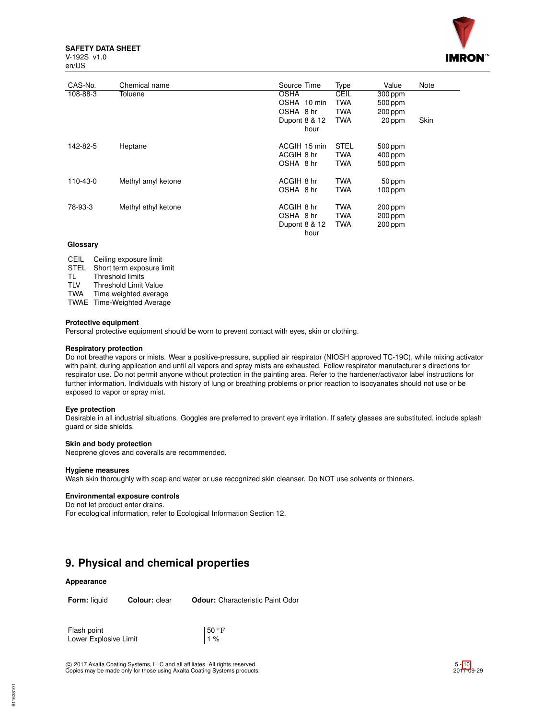**SAFETY DATA SHEET** V-192S v1.0

en/US



| CAS-No.  | Chemical name       | Source Time                | Type               | Value              | Note |
|----------|---------------------|----------------------------|--------------------|--------------------|------|
| 108-88-3 | Toluene             | <b>OSHA</b><br>OSHA 10 min | CEIL<br><b>TWA</b> | 300 ppm<br>500 ppm |      |
|          |                     | OSHA 8 hr                  | <b>TWA</b>         | 200 ppm            |      |
|          |                     | Dupont 8 & 12<br>hour      | <b>TWA</b>         | 20 ppm             | Skin |
| 142-82-5 | Heptane             | ACGIH 15 min               | <b>STEL</b>        | 500 ppm            |      |
|          |                     | ACGIH 8 hr                 | <b>TWA</b>         | $400$ ppm          |      |
|          |                     | OSHA 8 hr                  | <b>TWA</b>         | 500 ppm            |      |
| 110-43-0 | Methyl amyl ketone  | ACGIH 8 hr                 | <b>TWA</b>         | 50 ppm             |      |
|          |                     | OSHA 8 hr                  | <b>TWA</b>         | $100$ ppm          |      |
| 78-93-3  | Methyl ethyl ketone | ACGIH 8 hr                 | <b>TWA</b>         | $200$ ppm          |      |
|          |                     | OSHA 8 hr                  | <b>TWA</b>         | 200 ppm            |      |
|          |                     | Dupont 8 & 12              | <b>TWA</b>         | 200 ppm            |      |
|          |                     | hour                       |                    |                    |      |

## **Glossary**

CEIL Ceiling exposure limit STEL Short term exposure limit<br>TL Threshold limits TL Threshold limits<br>TLV Threshold Limit Threshold Limit Value TWA Time weighted average TWAE Time-Weighted Average

### **Protective equipment**

Personal protective equipment should be worn to prevent contact with eyes, skin or clothing.

## **Respiratory protection**

Do not breathe vapors or mists. Wear a positive-pressure, supplied air respirator (NIOSH approved TC-19C), while mixing activator with paint, during application and until all vapors and spray mists are exhausted. Follow respirator manufacturer s directions for respirator use. Do not permit anyone without protection in the painting area. Refer to the hardener/activator label instructions for further information. Individuals with history of lung or breathing problems or prior reaction to isocyanates should not use or be exposed to vapor or spray mist.

#### **Eye protection**

Desirable in all industrial situations. Goggles are preferred to prevent eye irritation. If safety glasses are substituted, include splash guard or side shields.

## **Skin and body protection**

Neoprene gloves and coveralls are recommended.

#### **Hygiene measures**

Wash skin thoroughly with soap and water or use recognized skin cleanser. Do NOT use solvents or thinners.

## **Environmental exposure controls**

Do not let product enter drains.

For ecological information, refer to Ecological Information Section 12.

## **9. Physical and chemical properties**

#### **Appearance**

**Form:** liquid **Colour:** clear **Odour:** Characteristic Paint Odor

Flash point<br>
Lower Explosive Limit 1 % Lower Explosive Limit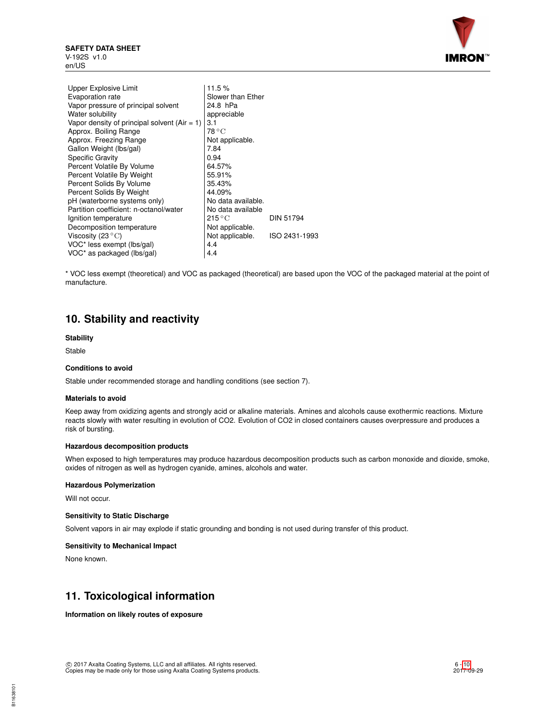**SAFETY DATA SHEET** V-192S v1.0 en/US



| Upper Explosive Limit                        | 11.5%                     |               |
|----------------------------------------------|---------------------------|---------------|
| Evaporation rate                             | Slower than Ether         |               |
| Vapor pressure of principal solvent          | 24.8 hPa                  |               |
| Water solubility                             | appreciable               |               |
| Vapor density of principal solvent (Air = 1) | 3.1                       |               |
| Approx. Boiling Range                        | 78 °C                     |               |
| Approx. Freezing Range                       | Not applicable.           |               |
| Gallon Weight (lbs/gal)                      | 7.84                      |               |
| <b>Specific Gravity</b>                      | 0.94                      |               |
| Percent Volatile By Volume                   | 64.57%                    |               |
| Percent Volatile By Weight                   | 55.91%                    |               |
| Percent Solids By Volume                     | 35.43%                    |               |
| Percent Solids By Weight                     | 44.09%                    |               |
| pH (waterborne systems only)                 | No data available.        |               |
| Partition coefficient: n-octanol/water       | No data available         |               |
| Ignition temperature                         | $215\,^{\circ}\mathrm{C}$ | DIN 51794     |
| Decomposition temperature                    | Not applicable.           |               |
| Viscosity (23 $\degree$ C)                   | Not applicable.           | ISO 2431-1993 |
| VOC* less exempt (lbs/gal)                   | 4.4                       |               |
| VOC* as packaged (lbs/gal)                   | 4.4                       |               |
|                                              |                           |               |

\* VOC less exempt (theoretical) and VOC as packaged (theoretical) are based upon the VOC of the packaged material at the point of manufacture.

## **10. Stability and reactivity**

### **Stability**

Stable

#### **Conditions to avoid**

Stable under recommended storage and handling conditions (see section 7).

### **Materials to avoid**

Keep away from oxidizing agents and strongly acid or alkaline materials. Amines and alcohols cause exothermic reactions. Mixture reacts slowly with water resulting in evolution of CO2. Evolution of CO2 in closed containers causes overpressure and produces a risk of bursting.

## **Hazardous decomposition products**

When exposed to high temperatures may produce hazardous decomposition products such as carbon monoxide and dioxide, smoke, oxides of nitrogen as well as hydrogen cyanide, amines, alcohols and water.

#### **Hazardous Polymerization**

Will not occur.

## **Sensitivity to Static Discharge**

Solvent vapors in air may explode if static grounding and bonding is not used during transfer of this product.

#### **Sensitivity to Mechanical Impact**

None known.

## **11. Toxicological information**

**Information on likely routes of exposure**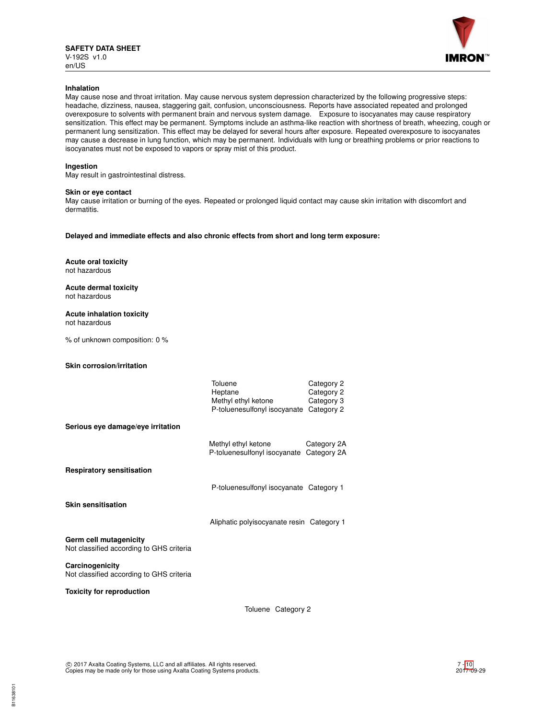

### **Inhalation**

May cause nose and throat irritation. May cause nervous system depression characterized by the following progressive steps: headache, dizziness, nausea, staggering gait, confusion, unconsciousness. Reports have associated repeated and prolonged overexposure to solvents with permanent brain and nervous system damage. Exposure to isocyanates may cause respiratory sensitization. This effect may be permanent. Symptoms include an asthma-like reaction with shortness of breath, wheezing, cough or permanent lung sensitization. This effect may be delayed for several hours after exposure. Repeated overexposure to isocyanates may cause a decrease in lung function, which may be permanent. Individuals with lung or breathing problems or prior reactions to isocyanates must not be exposed to vapors or spray mist of this product.

#### **Ingestion**

May result in gastrointestinal distress.

#### **Skin or eye contact**

May cause irritation or burning of the eyes. Repeated or prolonged liquid contact may cause skin irritation with discomfort and dermatitis.

**Delayed and immediate effects and also chronic effects from short and long term exposure:**

**Acute oral toxicity** not hazardous

**Acute dermal toxicity** not hazardous

#### **Acute inhalation toxicity** not hazardous

% of unknown composition: 0 %

### **Skin corrosion/irritation**

|                                                                    | Toluene<br>Heptane<br>Methyl ethyl ketone                       | Category 2<br>Category 2<br>Category 3 |
|--------------------------------------------------------------------|-----------------------------------------------------------------|----------------------------------------|
|                                                                    | P-toluenesulfonyl isocyanate Category 2                         |                                        |
| Serious eye damage/eye irritation                                  |                                                                 |                                        |
|                                                                    | Methyl ethyl ketone<br>P-toluenesulfonyl isocyanate Category 2A | Category 2A                            |
| <b>Respiratory sensitisation</b>                                   |                                                                 |                                        |
|                                                                    | P-toluenesulfonyl isocyanate Category 1                         |                                        |
| <b>Skin sensitisation</b>                                          |                                                                 |                                        |
|                                                                    | Aliphatic polyisocyanate resin Category 1                       |                                        |
| Germ cell mutagenicity<br>Not classified according to GHS criteria |                                                                 |                                        |
| Carcinogenicity<br>Not classified according to GHS criteria        |                                                                 |                                        |
| <b>Toxicity for reproduction</b>                                   |                                                                 |                                        |

Toluene Category 2

B11638101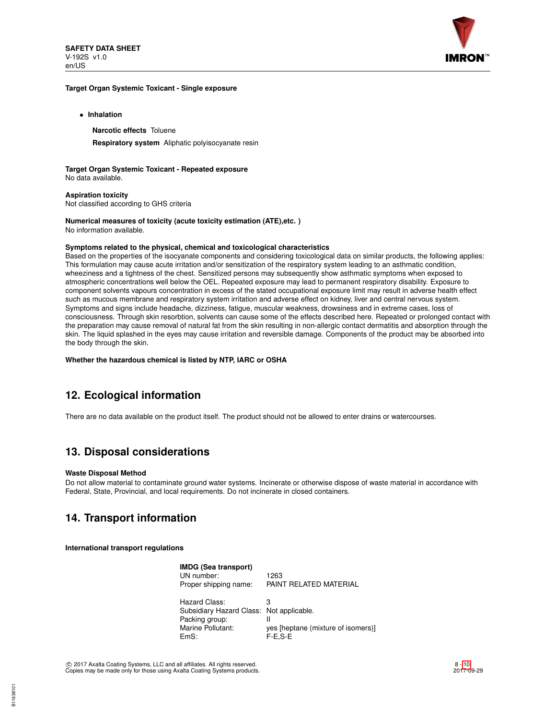

## **Target Organ Systemic Toxicant - Single exposure**

• **Inhalation**

**Narcotic effects** Toluene **Respiratory system** Aliphatic polyisocyanate resin

**Target Organ Systemic Toxicant - Repeated exposure** No data available.

**Aspiration toxicity** Not classified according to GHS criteria

**Numerical measures of toxicity (acute toxicity estimation (ATE),etc. )** No information available.

### **Symptoms related to the physical, chemical and toxicological characteristics**

Based on the properties of the isocyanate components and considering toxicological data on similar products, the following applies: This formulation may cause acute irritation and/or sensitization of the respiratory system leading to an asthmatic condition, wheeziness and a tightness of the chest. Sensitized persons may subsequently show asthmatic symptoms when exposed to atmospheric concentrations well below the OEL. Repeated exposure may lead to permanent respiratory disability. Exposure to component solvents vapours concentration in excess of the stated occupational exposure limit may result in adverse health effect such as mucous membrane and respiratory system irritation and adverse effect on kidney, liver and central nervous system. Symptoms and signs include headache, dizziness, fatigue, muscular weakness, drowsiness and in extreme cases, loss of consciousness. Through skin resorbtion, solvents can cause some of the effects described here. Repeated or prolonged contact with the preparation may cause removal of natural fat from the skin resulting in non-allergic contact dermatitis and absorption through the skin. The liquid splashed in the eyes may cause irritation and reversible damage. Components of the product may be absorbed into the body through the skin.

**Whether the hazardous chemical is listed by NTP, IARC or OSHA**

# **12. Ecological information**

There are no data available on the product itself. The product should not be allowed to enter drains or watercourses.

# **13. Disposal considerations**

## **Waste Disposal Method**

Do not allow material to contaminate ground water systems. Incinerate or otherwise dispose of waste material in accordance with Federal, State, Provincial, and local requirements. Do not incinerate in closed containers.

# **14. Transport information**

## **International transport regulations**

**IMDG (Sea transport)** UN number: 1263 Proper shipping name: PAINT RELATED MATERIAL Hazard Class: 3 Subsidiary Hazard Class: Not applicable. Packing group: II<br>Marine Pollutant: V yes [heptane (mixture of isomers)] EmS: F-E,S-E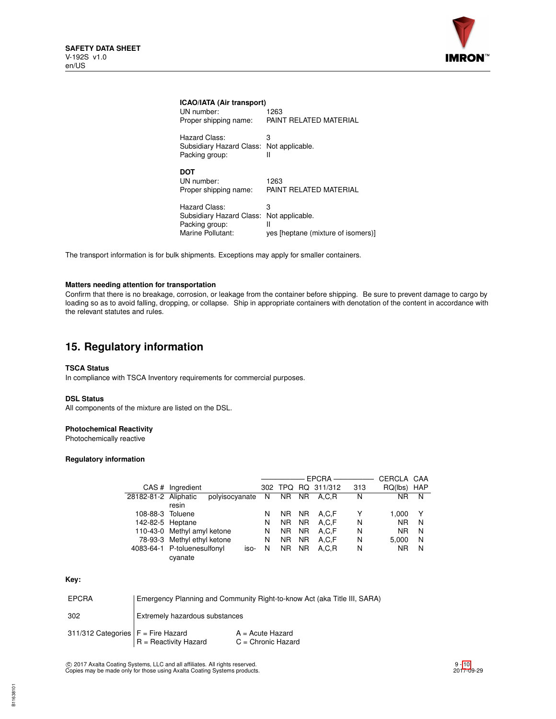

| ICAO/IATA (Air transport)<br>UN number:<br>Proper shipping name:                                 | 1263<br>PAINT RELATED MATERIAL               |
|--------------------------------------------------------------------------------------------------|----------------------------------------------|
| Hazard Class:<br>Subsidiary Hazard Class: Not applicable.<br>Packing group:                      | 3<br>Ш                                       |
| DOT<br>UN number:<br>Proper shipping name:                                                       | 1263<br>PAINT RELATED MATERIAL               |
| Hazard Class:<br>Subsidiary Hazard Class: Not applicable.<br>Packing group:<br>Marine Pollutant: | 3<br>Ш<br>yes [heptane (mixture of isomers)] |
|                                                                                                  |                                              |

The transport information is for bulk shipments. Exceptions may apply for smaller containers.

## **Matters needing attention for transportation**

Confirm that there is no breakage, corrosion, or leakage from the container before shipping. Be sure to prevent damage to cargo by loading so as to avoid falling, dropping, or collapse. Ship in appropriate containers with denotation of the content in accordance with the relevant statutes and rules.

# **15. Regulatory information**

## **TSCA Status**

In compliance with TSCA Inventory requirements for commercial purposes.

### **DSL Status**

All components of the mixture are listed on the DSL.

## **Photochemical Reactivity**

Photochemically reactive

## **Regulatory information**

|                      |                                     |   |           |           | <b>EPCRA</b> |     | CERCLA    | CAA        |
|----------------------|-------------------------------------|---|-----------|-----------|--------------|-----|-----------|------------|
|                      | CAS # Ingredient                    |   | 302 TPQ   |           | RQ 311/312   | 313 | RQ(lbs)   | <b>HAP</b> |
| 28182-81-2 Aliphatic | polyisocyanate                      | N | NR.       | <b>NR</b> | A.C.R        | N   | <b>NR</b> | N          |
|                      | resin                               |   |           |           |              |     |           |            |
| 108-88-3 Toluene     |                                     | N | NR.       | NR.       | A.C.F        | Y   | 1.000     | Y          |
| 142-82-5 Heptane     |                                     | N | <b>NR</b> | <b>NR</b> | A.C.F        | N   | <b>NR</b> | N          |
|                      | 110-43-0 Methyl amyl ketone         | N | <b>NR</b> | <b>NR</b> | A.C.F        | N   | <b>NR</b> | N          |
|                      | 78-93-3 Methyl ethyl ketone         | N | <b>NR</b> | <b>NR</b> | A.C.F        | N   | 5.000     | N          |
|                      | 4083-64-1 P-toluenesulfonyl<br>iso- | N | <b>NR</b> | <b>NR</b> | A.C.R        | N   | <b>NR</b> | N          |
|                      | cyanate                             |   |           |           |              |     |           |            |

#### **Key:**

| <b>EPCRA</b>                         | Emergency Planning and Community Right-to-know Act (aka Title III, SARA) |                                            |  |
|--------------------------------------|--------------------------------------------------------------------------|--------------------------------------------|--|
| 302                                  | Extremely hazardous substances                                           |                                            |  |
| 311/312 Categories $F =$ Fire Hazard | R = Reactivity Hazard                                                    | $A = Acute$ Hazard<br>$C =$ Chronic Hazard |  |